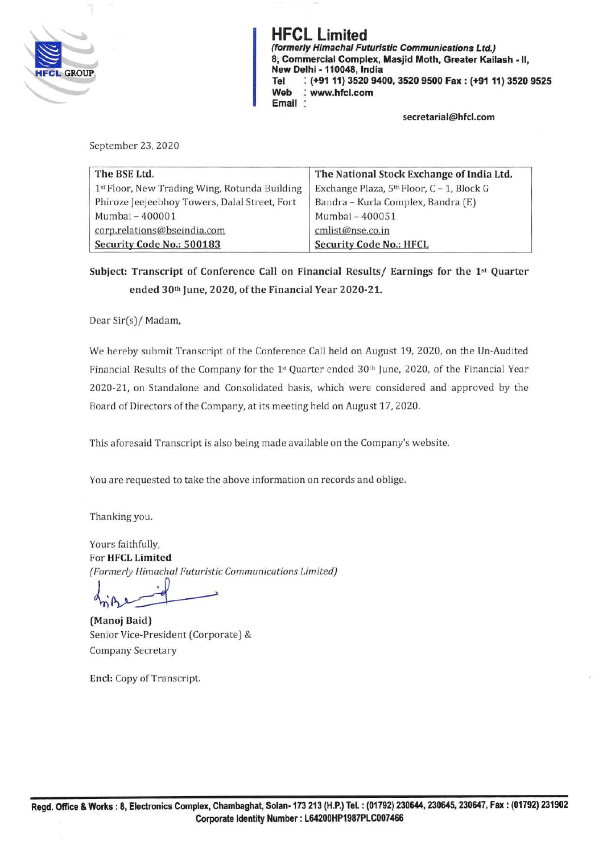

**HFCL Limited (formerly Himachal Futuristic Communications Ltd.) 8, Commercial Complex, Masjid Moth, Greater Kailash** - II, **New Delhi -110048, India Tel** : **(+9111) 3520 9400, 3520 9500 Fax: (+9111) 3520 9525 Web** : **www.hfcl.com Email** 

**secretaria l@hfcl.com** 

September 23, 2020

| The BSE Ltd.                                  | The National Stock Exchange of India Ltd.             |
|-----------------------------------------------|-------------------------------------------------------|
| 1st Floor, New Trading Wing, Rotunda Building | Exchange Plaza, 5 <sup>th</sup> Floor, C - 1, Block G |
| Phiroze Jeejeebhoy Towers, Dalal Street, Fort | Bandra - Kurla Complex, Bandra (E)                    |
| Mumbai - 400001                               | Mumbai - 400051                                       |
| corp.relations@bseindia.com                   | cmlist@nse.co.in                                      |
| Security Code No.: 500183                     | <b>Security Code No.: HFCL</b>                        |

**Subject: Transcript of Conference Call on Financial Results/ Earnings for the 1st Quarter ended 30th June, 2020, of the Financial Year 2020-21.** 

Dear Sir(s)/ Madam,

We hereby submit Transcript of the Conference Call held on August 19, 2020, on the Un-Audited Financial Results of the Company for the 1st Quarter ended 30th June, 2020, of the Financial Year 2020-21, on Standalone and Consolidated basis, which were considered and approved by the Board of Directors of the Company, at its meeting held on August 17, 2020.

This aforesaid Transcript is also being made available on the Company's website.

You are requested to take the above information on records and oblige.

Thanking you.

Yours faithfully, For **HFCL Limited**  *(Formerly Himachal Futuristic Communications Limited)* 

Formerly Himachal Futuristic Communicat<br>and **Baid**<br>**Manoj Baid**)

(Manoj Baid) Senior Vice-President (Corporate) & Company Secretary

**Encl:** Copy of Transcript.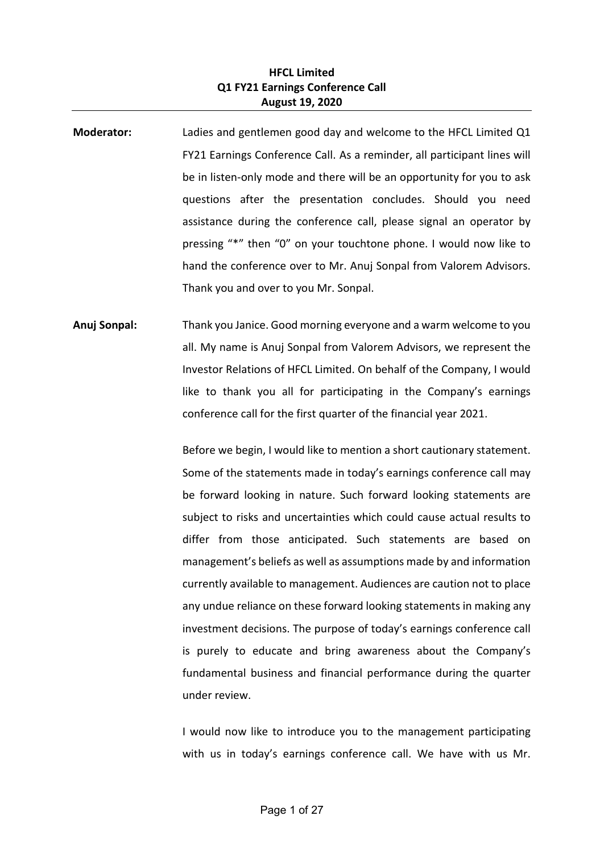## **HFCL Limited Q1 FY21 Earnings Conference Call August 19, 2020**

- **Moderator:** Ladies and gentlemen good day and welcome to the HFCL Limited Q1 FY21 Earnings Conference Call. As a reminder, all participant lines will be in listen-only mode and there will be an opportunity for you to ask questions after the presentation concludes. Should you need assistance during the conference call, please signal an operator by pressing "\*" then "0" on your touchtone phone. I would now like to hand the conference over to Mr. Anuj Sonpal from Valorem Advisors. Thank you and over to you Mr. Sonpal.
- **Anuj Sonpal:** Thank you Janice. Good morning everyone and a warm welcome to you all. My name is Anuj Sonpal from Valorem Advisors, we represent the Investor Relations of HFCL Limited. On behalf of the Company, I would like to thank you all for participating in the Company's earnings conference call for the first quarter of the financial year 2021.

Before we begin, I would like to mention a short cautionary statement. Some of the statements made in today's earnings conference call may be forward looking in nature. Such forward looking statements are subject to risks and uncertainties which could cause actual results to differ from those anticipated. Such statements are based on management's beliefs as well as assumptions made by and information currently available to management. Audiences are caution not to place any undue reliance on these forward looking statements in making any investment decisions. The purpose of today's earnings conference call is purely to educate and bring awareness about the Company's fundamental business and financial performance during the quarter under review.

I would now like to introduce you to the management participating with us in today's earnings conference call. We have with us Mr.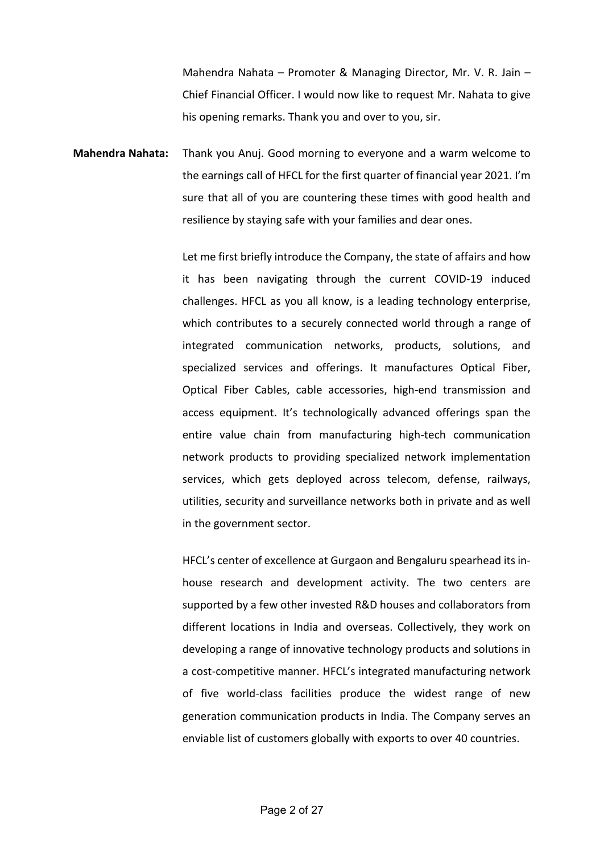Mahendra Nahata – Promoter & Managing Director, Mr. V. R. Jain – Chief Financial Officer. I would now like to request Mr. Nahata to give his opening remarks. Thank you and over to you, sir.

**Mahendra Nahata:** Thank you Anuj. Good morning to everyone and a warm welcome to the earnings call of HFCL for the first quarter of financial year 2021. I'm sure that all of you are countering these times with good health and resilience by staying safe with your families and dear ones.

> Let me first briefly introduce the Company, the state of affairs and how it has been navigating through the current COVID-19 induced challenges. HFCL as you all know, is a leading technology enterprise, which contributes to a securely connected world through a range of integrated communication networks, products, solutions, and specialized services and offerings. It manufactures Optical Fiber, Optical Fiber Cables, cable accessories, high-end transmission and access equipment. It's technologically advanced offerings span the entire value chain from manufacturing high-tech communication network products to providing specialized network implementation services, which gets deployed across telecom, defense, railways, utilities, security and surveillance networks both in private and as well in the government sector.

> HFCL's center of excellence at Gurgaon and Bengaluru spearhead its inhouse research and development activity. The two centers are supported by a few other invested R&D houses and collaborators from different locations in India and overseas. Collectively, they work on developing a range of innovative technology products and solutions in a cost-competitive manner. HFCL's integrated manufacturing network of five world-class facilities produce the widest range of new generation communication products in India. The Company serves an enviable list of customers globally with exports to over 40 countries.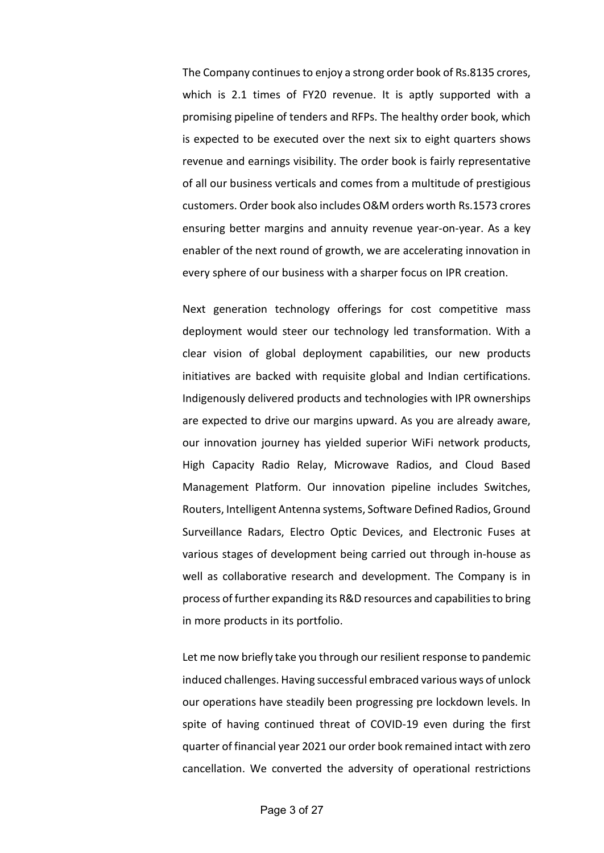The Company continues to enjoy a strong order book of Rs.8135 crores, which is 2.1 times of FY20 revenue. It is aptly supported with a promising pipeline of tenders and RFPs. The healthy order book, which is expected to be executed over the next six to eight quarters shows revenue and earnings visibility. The order book is fairly representative of all our business verticals and comes from a multitude of prestigious customers. Order book also includes O&M orders worth Rs.1573 crores ensuring better margins and annuity revenue year-on-year. As a key enabler of the next round of growth, we are accelerating innovation in every sphere of our business with a sharper focus on IPR creation.

Next generation technology offerings for cost competitive mass deployment would steer our technology led transformation. With a clear vision of global deployment capabilities, our new products initiatives are backed with requisite global and Indian certifications. Indigenously delivered products and technologies with IPR ownerships are expected to drive our margins upward. As you are already aware, our innovation journey has yielded superior WiFi network products, High Capacity Radio Relay, Microwave Radios, and Cloud Based Management Platform. Our innovation pipeline includes Switches, Routers, Intelligent Antenna systems, Software Defined Radios, Ground Surveillance Radars, Electro Optic Devices, and Electronic Fuses at various stages of development being carried out through in-house as well as collaborative research and development. The Company is in process of further expanding its R&D resources and capabilities to bring in more products in its portfolio.

Let me now briefly take you through our resilient response to pandemic induced challenges. Having successful embraced various ways of unlock our operations have steadily been progressing pre lockdown levels. In spite of having continued threat of COVID-19 even during the first quarter of financial year 2021 our order book remained intact with zero cancellation. We converted the adversity of operational restrictions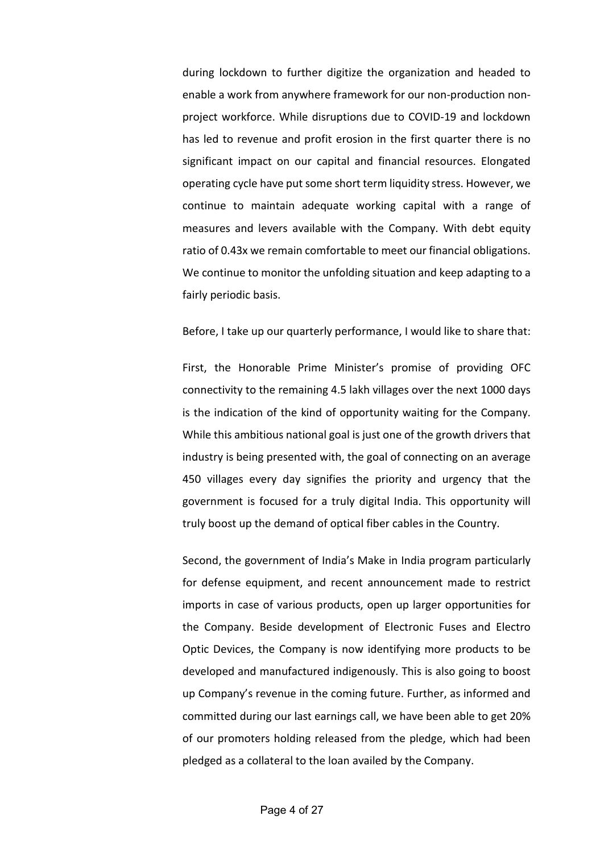during lockdown to further digitize the organization and headed to enable a work from anywhere framework for our non-production nonproject workforce. While disruptions due to COVID-19 and lockdown has led to revenue and profit erosion in the first quarter there is no significant impact on our capital and financial resources. Elongated operating cycle have put some short term liquidity stress. However, we continue to maintain adequate working capital with a range of measures and levers available with the Company. With debt equity ratio of 0.43x we remain comfortable to meet our financial obligations. We continue to monitor the unfolding situation and keep adapting to a fairly periodic basis.

## Before, I take up our quarterly performance, I would like to share that:

First, the Honorable Prime Minister's promise of providing OFC connectivity to the remaining 4.5 lakh villages over the next 1000 days is the indication of the kind of opportunity waiting for the Company. While this ambitious national goal is just one of the growth drivers that industry is being presented with, the goal of connecting on an average 450 villages every day signifies the priority and urgency that the government is focused for a truly digital India. This opportunity will truly boost up the demand of optical fiber cables in the Country.

Second, the government of India's Make in India program particularly for defense equipment, and recent announcement made to restrict imports in case of various products, open up larger opportunities for the Company. Beside development of Electronic Fuses and Electro Optic Devices, the Company is now identifying more products to be developed and manufactured indigenously. This is also going to boost up Company's revenue in the coming future. Further, as informed and committed during our last earnings call, we have been able to get 20% of our promoters holding released from the pledge, which had been pledged as a collateral to the loan availed by the Company.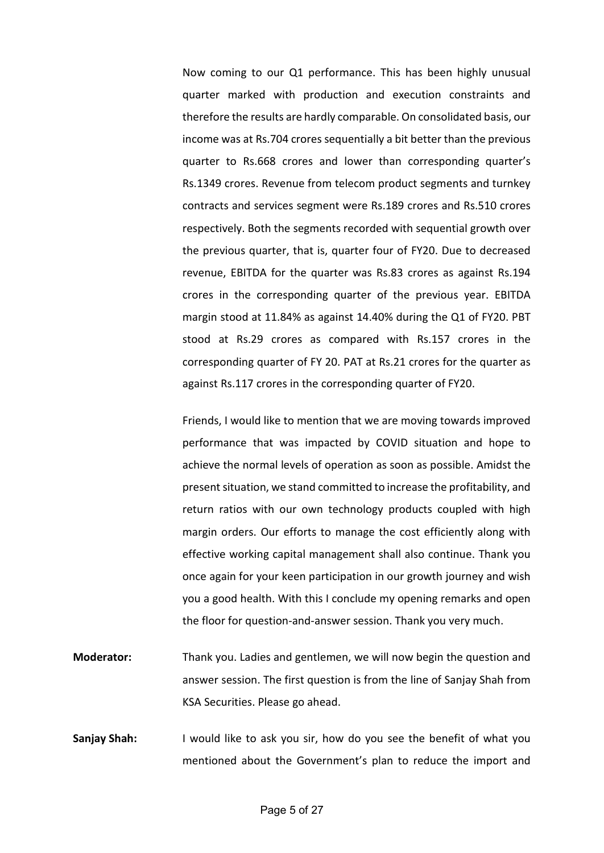Now coming to our Q1 performance. This has been highly unusual quarter marked with production and execution constraints and therefore the results are hardly comparable. On consolidated basis, our income was at Rs.704 crores sequentially a bit better than the previous quarter to Rs.668 crores and lower than corresponding quarter's Rs.1349 crores. Revenue from telecom product segments and turnkey contracts and services segment were Rs.189 crores and Rs.510 crores respectively. Both the segments recorded with sequential growth over the previous quarter, that is, quarter four of FY20. Due to decreased revenue, EBITDA for the quarter was Rs.83 crores as against Rs.194 crores in the corresponding quarter of the previous year. EBITDA margin stood at 11.84% as against 14.40% during the Q1 of FY20. PBT stood at Rs.29 crores as compared with Rs.157 crores in the corresponding quarter of FY 20. PAT at Rs.21 crores for the quarter as against Rs.117 crores in the corresponding quarter of FY20.

Friends, I would like to mention that we are moving towards improved performance that was impacted by COVID situation and hope to achieve the normal levels of operation as soon as possible. Amidst the present situation, we stand committed to increase the profitability, and return ratios with our own technology products coupled with high margin orders. Our efforts to manage the cost efficiently along with effective working capital management shall also continue. Thank you once again for your keen participation in our growth journey and wish you a good health. With this I conclude my opening remarks and open the floor for question-and-answer session. Thank you very much.

- **Moderator:** Thank you. Ladies and gentlemen, we will now begin the question and answer session. The first question is from the line of Sanjay Shah from KSA Securities. Please go ahead.
- **Sanjay Shah:** I would like to ask you sir, how do you see the benefit of what you mentioned about the Government's plan to reduce the import and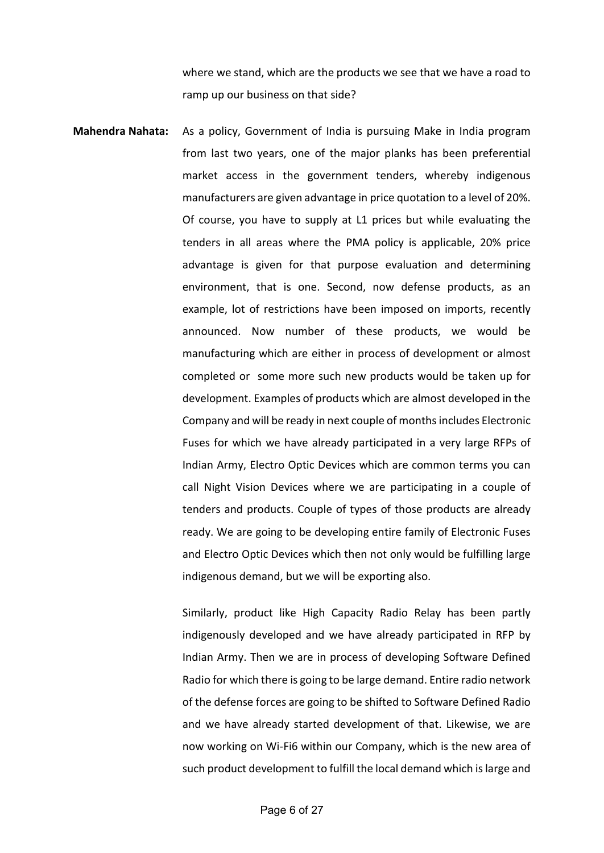where we stand, which are the products we see that we have a road to ramp up our business on that side?

**Mahendra Nahata:** As a policy, Government of India is pursuing Make in India program from last two years, one of the major planks has been preferential market access in the government tenders, whereby indigenous manufacturers are given advantage in price quotation to a level of 20%. Of course, you have to supply at L1 prices but while evaluating the tenders in all areas where the PMA policy is applicable, 20% price advantage is given for that purpose evaluation and determining environment, that is one. Second, now defense products, as an example, lot of restrictions have been imposed on imports, recently announced. Now number of these products, we would be manufacturing which are either in process of development or almost completed or some more such new products would be taken up for development. Examples of products which are almost developed in the Company and will be ready in next couple of months includes Electronic Fuses for which we have already participated in a very large RFPs of Indian Army, Electro Optic Devices which are common terms you can call Night Vision Devices where we are participating in a couple of tenders and products. Couple of types of those products are already ready. We are going to be developing entire family of Electronic Fuses and Electro Optic Devices which then not only would be fulfilling large indigenous demand, but we will be exporting also.

> Similarly, product like High Capacity Radio Relay has been partly indigenously developed and we have already participated in RFP by Indian Army. Then we are in process of developing Software Defined Radio for which there is going to be large demand. Entire radio network of the defense forces are going to be shifted to Software Defined Radio and we have already started development of that. Likewise, we are now working on Wi-Fi6 within our Company, which is the new area of such product development to fulfill the local demand which is large and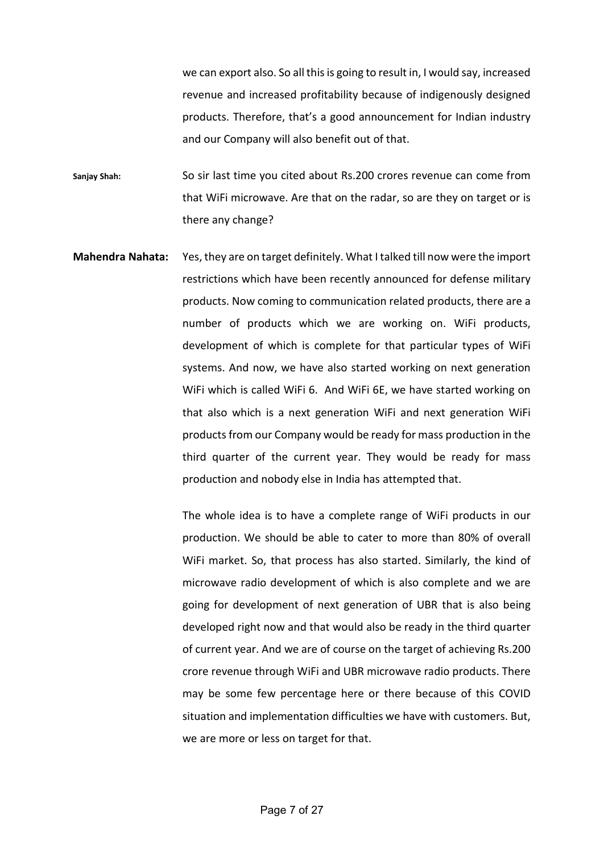we can export also. So all this is going to result in, I would say, increased revenue and increased profitability because of indigenously designed products. Therefore, that's a good announcement for Indian industry and our Company will also benefit out of that.

**Sanjay Shah:** So sir last time you cited about Rs.200 crores revenue can come from that WiFi microwave. Are that on the radar, so are they on target or is there any change?

**Mahendra Nahata:** Yes, they are on target definitely. What I talked till now were the import restrictions which have been recently announced for defense military products. Now coming to communication related products, there are a number of products which we are working on. WiFi products, development of which is complete for that particular types of WiFi systems. And now, we have also started working on next generation WiFi which is called WiFi 6. And WiFi 6E, we have started working on that also which is a next generation WiFi and next generation WiFi products from our Company would be ready for mass production in the third quarter of the current year. They would be ready for mass production and nobody else in India has attempted that.

> The whole idea is to have a complete range of WiFi products in our production. We should be able to cater to more than 80% of overall WiFi market. So, that process has also started. Similarly, the kind of microwave radio development of which is also complete and we are going for development of next generation of UBR that is also being developed right now and that would also be ready in the third quarter of current year. And we are of course on the target of achieving Rs.200 crore revenue through WiFi and UBR microwave radio products. There may be some few percentage here or there because of this COVID situation and implementation difficulties we have with customers. But, we are more or less on target for that.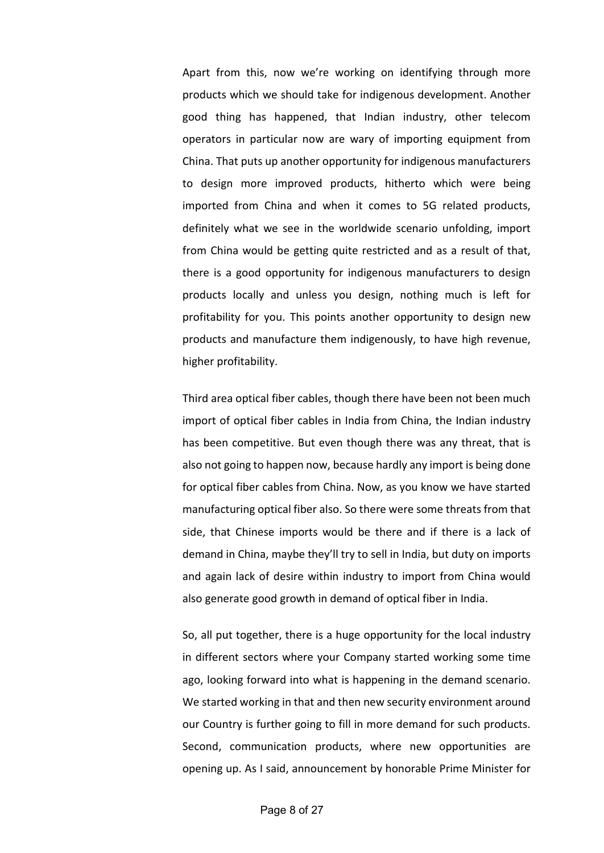Apart from this, now we're working on identifying through more products which we should take for indigenous development. Another good thing has happened, that Indian industry, other telecom operators in particular now are wary of importing equipment from China. That puts up another opportunity for indigenous manufacturers to design more improved products, hitherto which were being imported from China and when it comes to 5G related products, definitely what we see in the worldwide scenario unfolding, import from China would be getting quite restricted and as a result of that, there is a good opportunity for indigenous manufacturers to design products locally and unless you design, nothing much is left for profitability for you. This points another opportunity to design new products and manufacture them indigenously, to have high revenue, higher profitability.

Third area optical fiber cables, though there have been not been much import of optical fiber cables in India from China, the Indian industry has been competitive. But even though there was any threat, that is also not going to happen now, because hardly any import is being done for optical fiber cables from China. Now, as you know we have started manufacturing optical fiber also. So there were some threats from that side, that Chinese imports would be there and if there is a lack of demand in China, maybe they'll try to sell in India, but duty on imports and again lack of desire within industry to import from China would also generate good growth in demand of optical fiber in India.

So, all put together, there is a huge opportunity for the local industry in different sectors where your Company started working some time ago, looking forward into what is happening in the demand scenario. We started working in that and then new security environment around our Country is further going to fill in more demand for such products. Second, communication products, where new opportunities are opening up. As I said, announcement by honorable Prime Minister for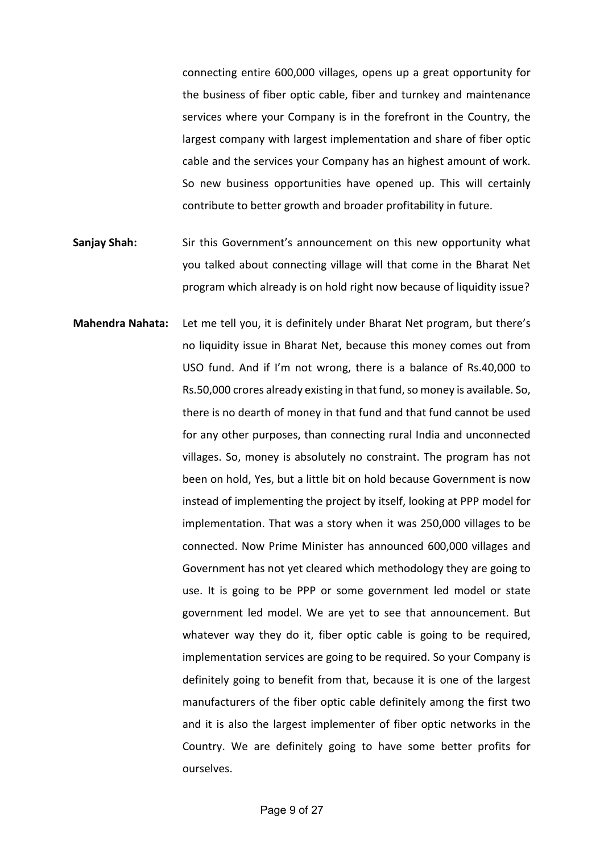connecting entire 600,000 villages, opens up a great opportunity for the business of fiber optic cable, fiber and turnkey and maintenance services where your Company is in the forefront in the Country, the largest company with largest implementation and share of fiber optic cable and the services your Company has an highest amount of work. So new business opportunities have opened up. This will certainly contribute to better growth and broader profitability in future.

- **Sanjay Shah:** Sir this Government's announcement on this new opportunity what you talked about connecting village will that come in the Bharat Net program which already is on hold right now because of liquidity issue?
- **Mahendra Nahata:** Let me tell you, it is definitely under Bharat Net program, but there's no liquidity issue in Bharat Net, because this money comes out from USO fund. And if I'm not wrong, there is a balance of Rs.40,000 to Rs.50,000 crores already existing in that fund, so money is available. So, there is no dearth of money in that fund and that fund cannot be used for any other purposes, than connecting rural India and unconnected villages. So, money is absolutely no constraint. The program has not been on hold, Yes, but a little bit on hold because Government is now instead of implementing the project by itself, looking at PPP model for implementation. That was a story when it was 250,000 villages to be connected. Now Prime Minister has announced 600,000 villages and Government has not yet cleared which methodology they are going to use. It is going to be PPP or some government led model or state government led model. We are yet to see that announcement. But whatever way they do it, fiber optic cable is going to be required, implementation services are going to be required. So your Company is definitely going to benefit from that, because it is one of the largest manufacturers of the fiber optic cable definitely among the first two and it is also the largest implementer of fiber optic networks in the Country. We are definitely going to have some better profits for ourselves.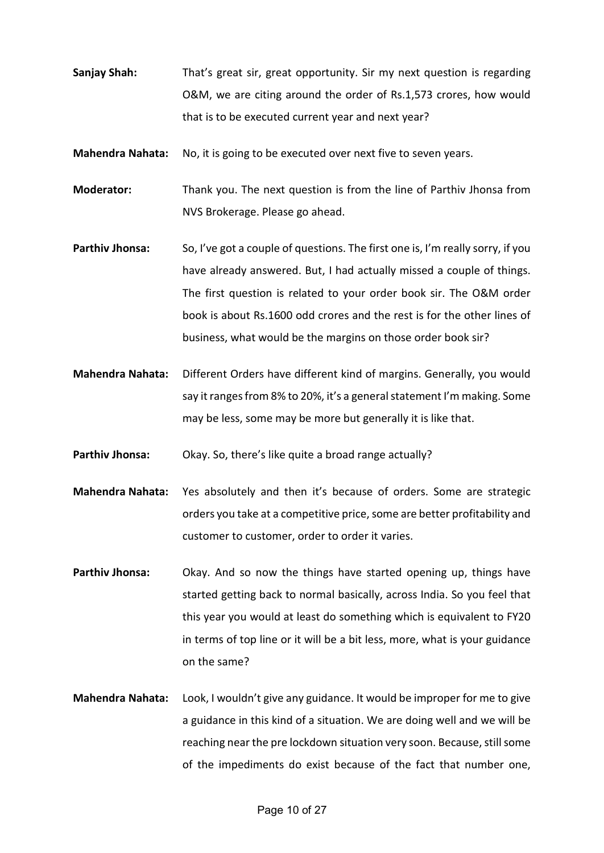- **Sanjay Shah:** That's great sir, great opportunity. Sir my next question is regarding O&M, we are citing around the order of Rs.1,573 crores, how would that is to be executed current year and next year?
- **Mahendra Nahata:** No, it is going to be executed over next five to seven years.
- **Moderator:** Thank you. The next question is from the line of Parthiv Jhonsa from NVS Brokerage. Please go ahead.
- **Parthiv Jhonsa:** So, I've got a couple of questions. The first one is, I'm really sorry, if you have already answered. But, I had actually missed a couple of things. The first question is related to your order book sir. The O&M order book is about Rs.1600 odd crores and the rest is for the other lines of business, what would be the margins on those order book sir?
- **Mahendra Nahata:** Different Orders have different kind of margins. Generally, you would say it ranges from 8% to 20%, it's a general statement I'm making. Some may be less, some may be more but generally it is like that.
- **Parthiv Jhonsa:** Okay. So, there's like quite a broad range actually?
- **Mahendra Nahata:** Yes absolutely and then it's because of orders. Some are strategic orders you take at a competitive price, some are better profitability and customer to customer, order to order it varies.
- **Parthiv Jhonsa:** Okay. And so now the things have started opening up, things have started getting back to normal basically, across India. So you feel that this year you would at least do something which is equivalent to FY20 in terms of top line or it will be a bit less, more, what is your guidance on the same?
- **Mahendra Nahata:** Look, I wouldn't give any guidance. It would be improper for me to give a guidance in this kind of a situation. We are doing well and we will be reaching near the pre lockdown situation very soon. Because, still some of the impediments do exist because of the fact that number one,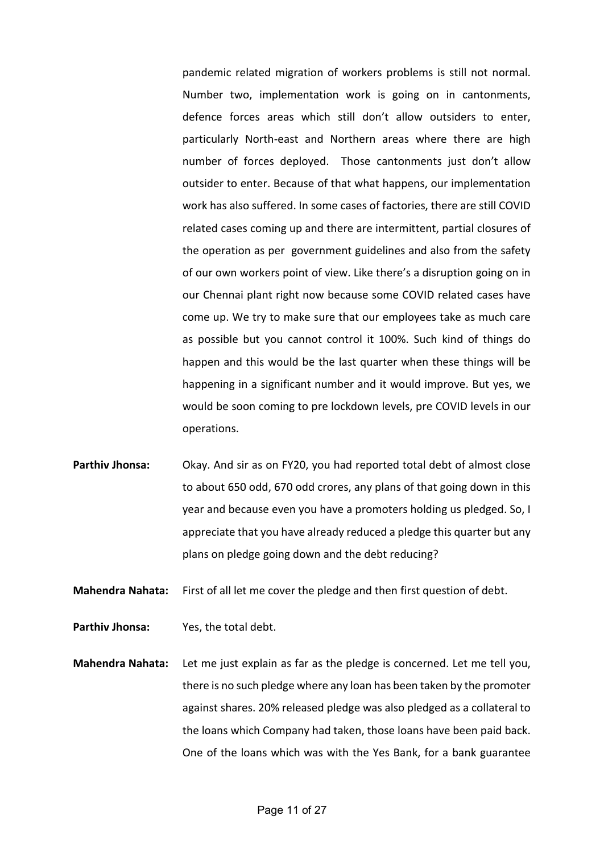pandemic related migration of workers problems is still not normal. Number two, implementation work is going on in cantonments, defence forces areas which still don't allow outsiders to enter, particularly North-east and Northern areas where there are high number of forces deployed. Those cantonments just don't allow outsider to enter. Because of that what happens, our implementation work has also suffered. In some cases of factories, there are still COVID related cases coming up and there are intermittent, partial closures of the operation as per government guidelines and also from the safety of our own workers point of view. Like there's a disruption going on in our Chennai plant right now because some COVID related cases have come up. We try to make sure that our employees take as much care as possible but you cannot control it 100%. Such kind of things do happen and this would be the last quarter when these things will be happening in a significant number and it would improve. But yes, we would be soon coming to pre lockdown levels, pre COVID levels in our operations.

**Parthiv Jhonsa:** Okay. And sir as on FY20, you had reported total debt of almost close to about 650 odd, 670 odd crores, any plans of that going down in this year and because even you have a promoters holding us pledged. So, I appreciate that you have already reduced a pledge this quarter but any plans on pledge going down and the debt reducing?

**Mahendra Nahata:** First of all let me cover the pledge and then first question of debt.

**Parthiv Jhonsa:** Yes, the total debt.

**Mahendra Nahata:** Let me just explain as far as the pledge is concerned. Let me tell you, there is no such pledge where any loan has been taken by the promoter against shares. 20% released pledge was also pledged as a collateral to the loans which Company had taken, those loans have been paid back. One of the loans which was with the Yes Bank, for a bank guarantee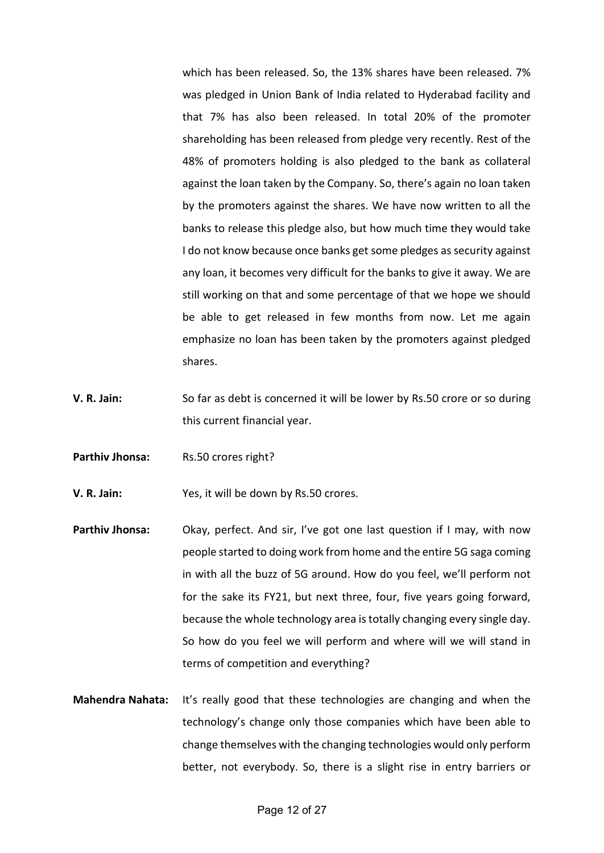which has been released. So, the 13% shares have been released. 7% was pledged in Union Bank of India related to Hyderabad facility and that 7% has also been released. In total 20% of the promoter shareholding has been released from pledge very recently. Rest of the 48% of promoters holding is also pledged to the bank as collateral against the loan taken by the Company. So, there's again no loan taken by the promoters against the shares. We have now written to all the banks to release this pledge also, but how much time they would take I do not know because once banks get some pledges as security against any loan, it becomes very difficult for the banks to give it away. We are still working on that and some percentage of that we hope we should be able to get released in few months from now. Let me again emphasize no loan has been taken by the promoters against pledged shares.

- **V. R. Jain:** So far as debt is concerned it will be lower by Rs.50 crore or so during this current financial year.
- **Parthiv Jhonsa:** Rs.50 crores right?

**V. R. Jain:** Yes, it will be down by Rs.50 crores.

- **Parthiv Jhonsa:** Okay, perfect. And sir, I've got one last question if I may, with now people started to doing work from home and the entire 5G saga coming in with all the buzz of 5G around. How do you feel, we'll perform not for the sake its FY21, but next three, four, five years going forward, because the whole technology area is totally changing every single day. So how do you feel we will perform and where will we will stand in terms of competition and everything?
- **Mahendra Nahata:** It's really good that these technologies are changing and when the technology's change only those companies which have been able to change themselves with the changing technologies would only perform better, not everybody. So, there is a slight rise in entry barriers or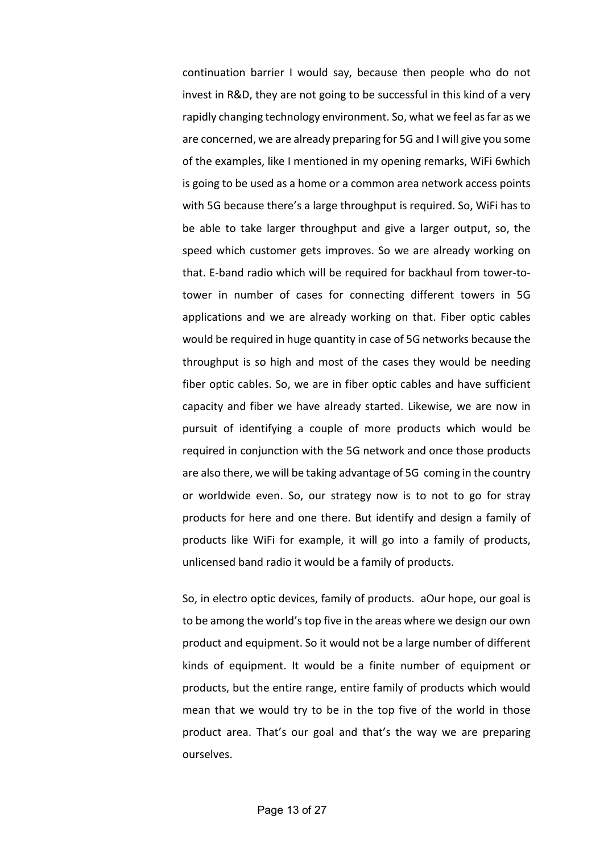continuation barrier I would say, because then people who do not invest in R&D, they are not going to be successful in this kind of a very rapidly changing technology environment. So, what we feel as far as we are concerned, we are already preparing for 5G and I will give you some of the examples, like I mentioned in my opening remarks, WiFi 6which is going to be used as a home or a common area network access points with 5G because there's a large throughput is required. So, WiFi has to be able to take larger throughput and give a larger output, so, the speed which customer gets improves. So we are already working on that. E-band radio which will be required for backhaul from tower-totower in number of cases for connecting different towers in 5G applications and we are already working on that. Fiber optic cables would be required in huge quantity in case of 5G networks because the throughput is so high and most of the cases they would be needing fiber optic cables. So, we are in fiber optic cables and have sufficient capacity and fiber we have already started. Likewise, we are now in pursuit of identifying a couple of more products which would be required in conjunction with the 5G network and once those products are also there, we will be taking advantage of 5G coming in the country or worldwide even. So, our strategy now is to not to go for stray products for here and one there. But identify and design a family of products like WiFi for example, it will go into a family of products, unlicensed band radio it would be a family of products.

So, in electro optic devices, family of products. aOur hope, our goal is to be among the world's top five in the areas where we design our own product and equipment. So it would not be a large number of different kinds of equipment. It would be a finite number of equipment or products, but the entire range, entire family of products which would mean that we would try to be in the top five of the world in those product area. That's our goal and that's the way we are preparing ourselves.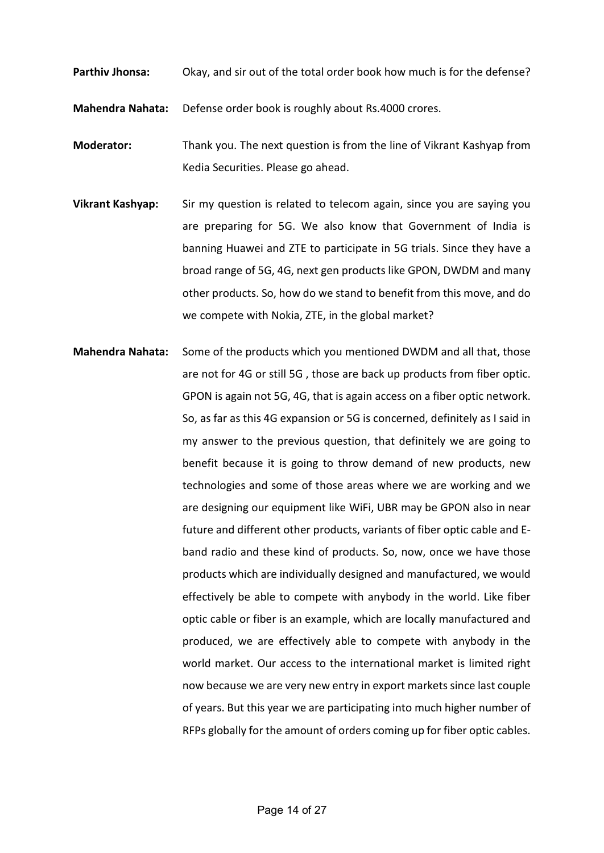**Parthiv Jhonsa:** Okay, and sir out of the total order book how much is for the defense?

**Mahendra Nahata:** Defense order book is roughly about Rs.4000 crores.

**Moderator:** Thank you. The next question is from the line of Vikrant Kashyap from Kedia Securities. Please go ahead.

- **Vikrant Kashyap:** Sir my question is related to telecom again, since you are saying you are preparing for 5G. We also know that Government of India is banning Huawei and ZTE to participate in 5G trials. Since they have a broad range of 5G, 4G, next gen products like GPON, DWDM and many other products. So, how do we stand to benefit from this move, and do we compete with Nokia, ZTE, in the global market?
- **Mahendra Nahata:** Some of the products which you mentioned DWDM and all that, those are not for 4G or still 5G , those are back up products from fiber optic. GPON is again not 5G, 4G, that is again access on a fiber optic network. So, as far as this 4G expansion or 5G is concerned, definitely as I said in my answer to the previous question, that definitely we are going to benefit because it is going to throw demand of new products, new technologies and some of those areas where we are working and we are designing our equipment like WiFi, UBR may be GPON also in near future and different other products, variants of fiber optic cable and Eband radio and these kind of products. So, now, once we have those products which are individually designed and manufactured, we would effectively be able to compete with anybody in the world. Like fiber optic cable or fiber is an example, which are locally manufactured and produced, we are effectively able to compete with anybody in the world market. Our access to the international market is limited right now because we are very new entry in export markets since last couple of years. But this year we are participating into much higher number of RFPs globally for the amount of orders coming up for fiber optic cables.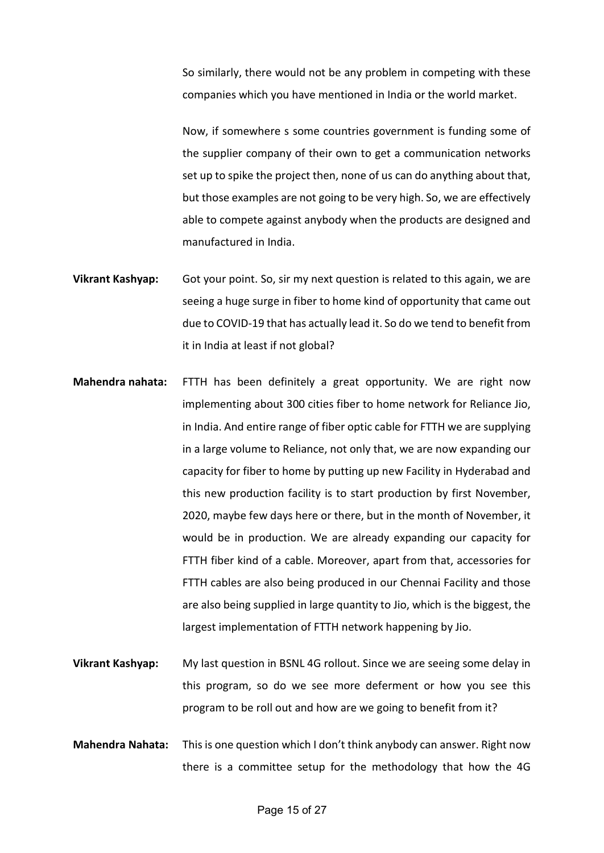So similarly, there would not be any problem in competing with these companies which you have mentioned in India or the world market.

Now, if somewhere s some countries government is funding some of the supplier company of their own to get a communication networks set up to spike the project then, none of us can do anything about that, but those examples are not going to be very high. So, we are effectively able to compete against anybody when the products are designed and manufactured in India.

- **Vikrant Kashyap:** Got your point. So, sir my next question is related to this again, we are seeing a huge surge in fiber to home kind of opportunity that came out due to COVID-19 that has actually lead it. So do we tend to benefit from it in India at least if not global?
- **Mahendra nahata:** FTTH has been definitely a great opportunity. We are right now implementing about 300 cities fiber to home network for Reliance Jio, in India. And entire range of fiber optic cable for FTTH we are supplying in a large volume to Reliance, not only that, we are now expanding our capacity for fiber to home by putting up new Facility in Hyderabad and this new production facility is to start production by first November, 2020, maybe few days here or there, but in the month of November, it would be in production. We are already expanding our capacity for FTTH fiber kind of a cable. Moreover, apart from that, accessories for FTTH cables are also being produced in our Chennai Facility and those are also being supplied in large quantity to Jio, which is the biggest, the largest implementation of FTTH network happening by Jio.
- **Vikrant Kashyap:** My last question in BSNL 4G rollout. Since we are seeing some delay in this program, so do we see more deferment or how you see this program to be roll out and how are we going to benefit from it?
- **Mahendra Nahata:** This is one question which I don't think anybody can answer. Right now there is a committee setup for the methodology that how the 4G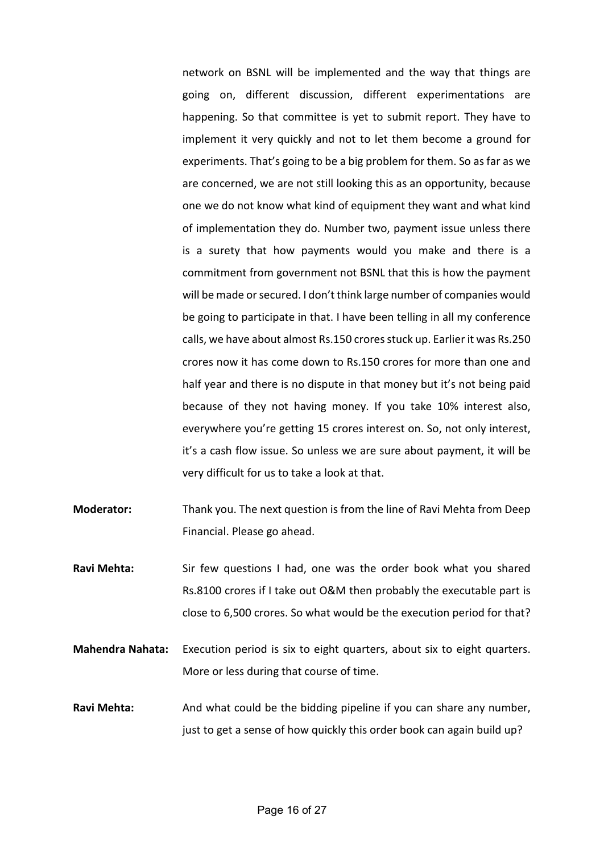network on BSNL will be implemented and the way that things are going on, different discussion, different experimentations are happening. So that committee is yet to submit report. They have to implement it very quickly and not to let them become a ground for experiments. That's going to be a big problem for them. So as far as we are concerned, we are not still looking this as an opportunity, because one we do not know what kind of equipment they want and what kind of implementation they do. Number two, payment issue unless there is a surety that how payments would you make and there is a commitment from government not BSNL that this is how the payment will be made or secured. I don't think large number of companies would be going to participate in that. I have been telling in all my conference calls, we have about almost Rs.150 crores stuck up. Earlier it was Rs.250 crores now it has come down to Rs.150 crores for more than one and half year and there is no dispute in that money but it's not being paid because of they not having money. If you take 10% interest also, everywhere you're getting 15 crores interest on. So, not only interest, it's a cash flow issue. So unless we are sure about payment, it will be very difficult for us to take a look at that.

- **Moderator:** Thank you. The next question is from the line of Ravi Mehta from Deep Financial. Please go ahead.
- **Ravi Mehta:** Sir few questions I had, one was the order book what you shared Rs.8100 crores if I take out O&M then probably the executable part is close to 6,500 crores. So what would be the execution period for that?
- **Mahendra Nahata:** Execution period is six to eight quarters, about six to eight quarters. More or less during that course of time.
- **Ravi Mehta:** And what could be the bidding pipeline if you can share any number, just to get a sense of how quickly this order book can again build up?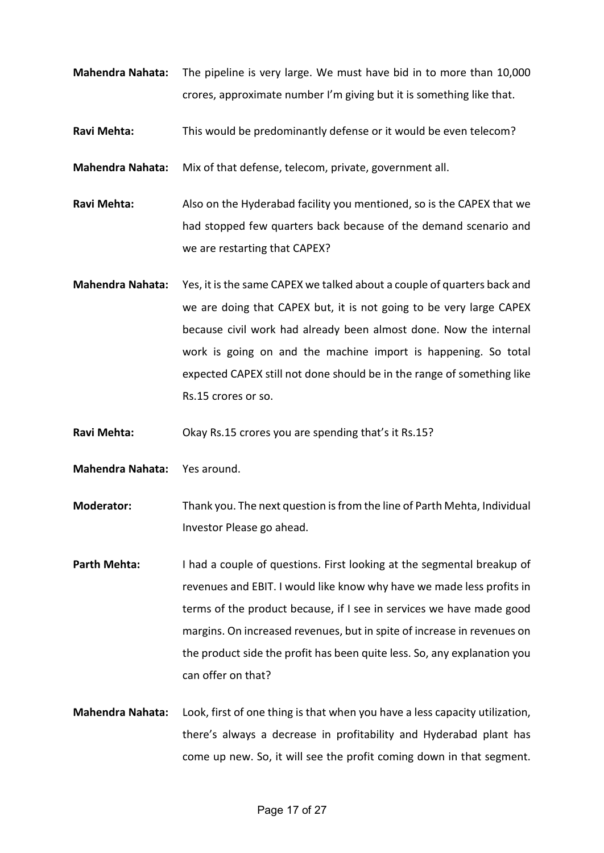- **Mahendra Nahata:** The pipeline is very large. We must have bid in to more than 10,000 crores, approximate number I'm giving but it is something like that.
- **Ravi Mehta:** This would be predominantly defense or it would be even telecom?

**Mahendra Nahata:** Mix of that defense, telecom, private, government all.

**Ravi Mehta:** Also on the Hyderabad facility you mentioned, so is the CAPEX that we had stopped few quarters back because of the demand scenario and we are restarting that CAPEX?

**Mahendra Nahata:** Yes, it is the same CAPEX we talked about a couple of quarters back and we are doing that CAPEX but, it is not going to be very large CAPEX because civil work had already been almost done. Now the internal work is going on and the machine import is happening. So total expected CAPEX still not done should be in the range of something like Rs.15 crores or so.

**Ravi Mehta:** Okay Rs.15 crores you are spending that's it Rs.15?

**Mahendra Nahata:** Yes around.

**Moderator:** Thank you. The next question is from the line of Parth Mehta, Individual Investor Please go ahead.

- **Parth Mehta:** I had a couple of questions. First looking at the segmental breakup of revenues and EBIT. I would like know why have we made less profits in terms of the product because, if I see in services we have made good margins. On increased revenues, but in spite of increase in revenues on the product side the profit has been quite less. So, any explanation you can offer on that?
- **Mahendra Nahata:** Look, first of one thing is that when you have a less capacity utilization, there's always a decrease in profitability and Hyderabad plant has come up new. So, it will see the profit coming down in that segment.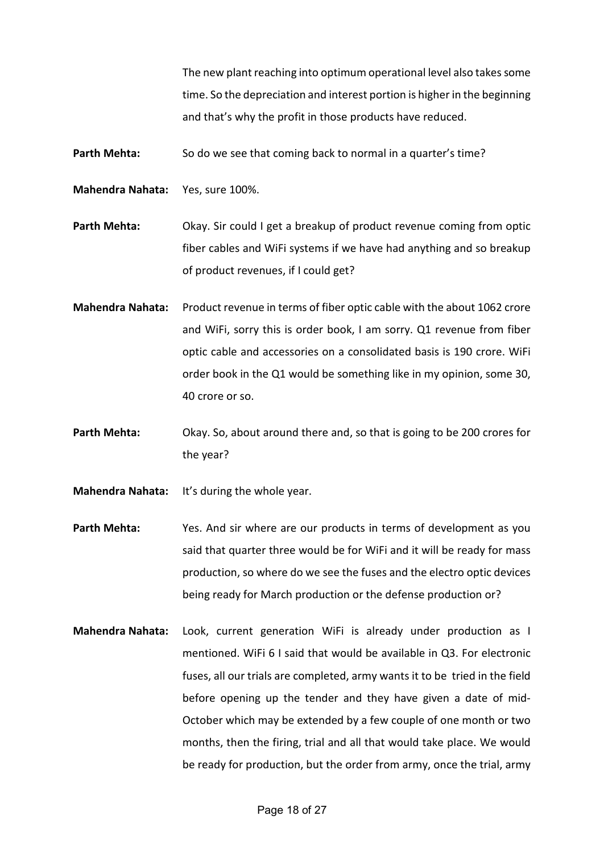The new plant reaching into optimum operational level also takes some time. So the depreciation and interest portion is higher in the beginning and that's why the profit in those products have reduced.

Parth Mehta: So do we see that coming back to normal in a quarter's time?

**Mahendra Nahata:** Yes, sure 100%.

**Parth Mehta:** Okay. Sir could I get a breakup of product revenue coming from optic fiber cables and WiFi systems if we have had anything and so breakup of product revenues, if I could get?

- **Mahendra Nahata:** Product revenue in terms of fiber optic cable with the about 1062 crore and WiFi, sorry this is order book, I am sorry. Q1 revenue from fiber optic cable and accessories on a consolidated basis is 190 crore. WiFi order book in the Q1 would be something like in my opinion, some 30, 40 crore or so.
- **Parth Mehta:** Okay. So, about around there and, so that is going to be 200 crores for the year?
- **Mahendra Nahata:** It's during the whole year.
- **Parth Mehta:** Yes. And sir where are our products in terms of development as you said that quarter three would be for WiFi and it will be ready for mass production, so where do we see the fuses and the electro optic devices being ready for March production or the defense production or?
- **Mahendra Nahata:** Look, current generation WiFi is already under production as I mentioned. WiFi 6 I said that would be available in Q3. For electronic fuses, all our trials are completed, army wants it to be tried in the field before opening up the tender and they have given a date of mid-October which may be extended by a few couple of one month or two months, then the firing, trial and all that would take place. We would be ready for production, but the order from army, once the trial, army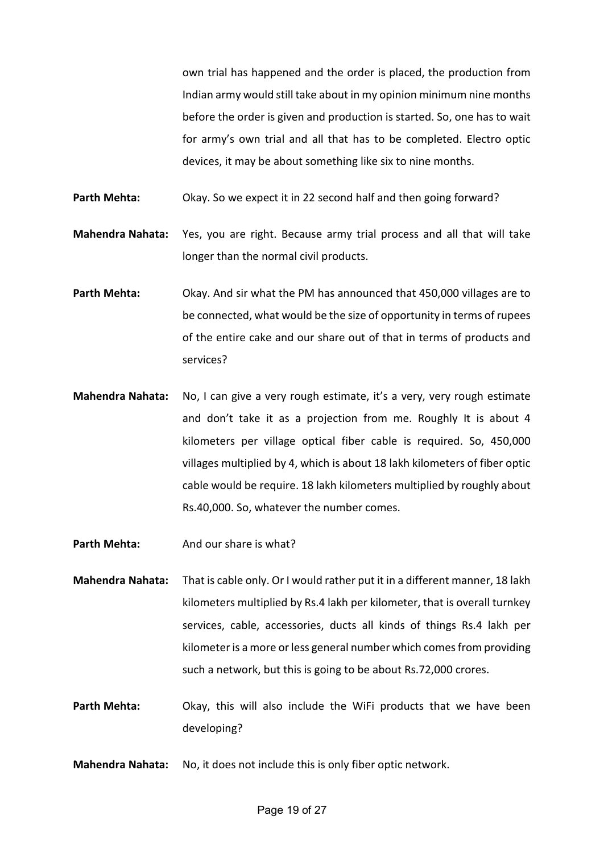own trial has happened and the order is placed, the production from Indian army would still take about in my opinion minimum nine months before the order is given and production is started. So, one has to wait for army's own trial and all that has to be completed. Electro optic devices, it may be about something like six to nine months.

Parth Mehta: Okay. So we expect it in 22 second half and then going forward?

**Mahendra Nahata:** Yes, you are right. Because army trial process and all that will take longer than the normal civil products.

- **Parth Mehta:** Okay. And sir what the PM has announced that 450,000 villages are to be connected, what would be the size of opportunity in terms of rupees of the entire cake and our share out of that in terms of products and services?
- **Mahendra Nahata:** No, I can give a very rough estimate, it's a very, very rough estimate and don't take it as a projection from me. Roughly It is about 4 kilometers per village optical fiber cable is required. So, 450,000 villages multiplied by 4, which is about 18 lakh kilometers of fiber optic cable would be require. 18 lakh kilometers multiplied by roughly about Rs.40,000. So, whatever the number comes.

**Parth Mehta:** And our share is what?

**Mahendra Nahata:** That is cable only. Or I would rather put it in a different manner, 18 lakh kilometers multiplied by Rs.4 lakh per kilometer, that is overall turnkey services, cable, accessories, ducts all kinds of things Rs.4 lakh per kilometer is a more or less general number which comes from providing such a network, but this is going to be about Rs.72,000 crores.

- Parth Mehta: Okay, this will also include the WiFi products that we have been developing?
- **Mahendra Nahata:** No, it does not include this is only fiber optic network.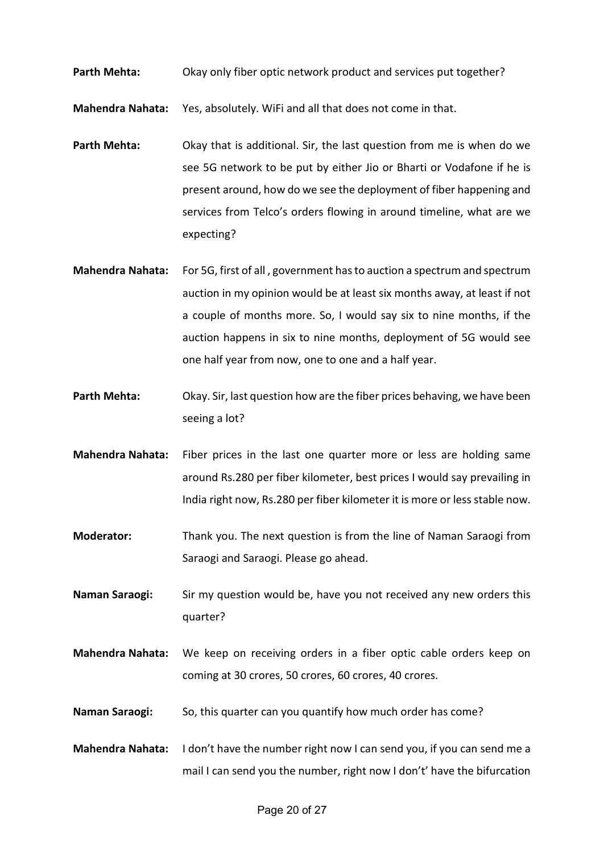Parth Mehta: Okay only fiber optic network product and services put together?

**Mahendra Nahata:** Yes, absolutely. WiFi and all that does not come in that.

- **Parth Mehta:** Okay that is additional. Sir, the last question from me is when do we see 5G network to be put by either Jio or Bharti or Vodafone if he is present around, how do we see the deployment of fiber happening and services from Telco's orders flowing in around timeline, what are we expecting?
- **Mahendra Nahata:** For 5G, first of all , government has to auction a spectrum and spectrum auction in my opinion would be at least six months away, at least if not a couple of months more. So, I would say six to nine months, if the auction happens in six to nine months, deployment of 5G would see one half year from now, one to one and a half year.
- **Parth Mehta:** Okay. Sir, last question how are the fiber prices behaving, we have been seeing a lot?
- **Mahendra Nahata:** Fiber prices in the last one quarter more or less are holding same around Rs.280 per fiber kilometer, best prices I would say prevailing in India right now, Rs.280 per fiber kilometer it is more or less stable now.
- **Moderator:** Thank you. The next question is from the line of Naman Saraogi from Saraogi and Saraogi. Please go ahead.
- **Naman Saraogi:** Sir my question would be, have you not received any new orders this quarter?
- **Mahendra Nahata:** We keep on receiving orders in a fiber optic cable orders keep on coming at 30 crores, 50 crores, 60 crores, 40 crores.
- **Naman Saraogi:** So, this quarter can you quantify how much order has come?
- **Mahendra Nahata:** I don't have the number right now I can send you, if you can send me a mail I can send you the number, right now I don't' have the bifurcation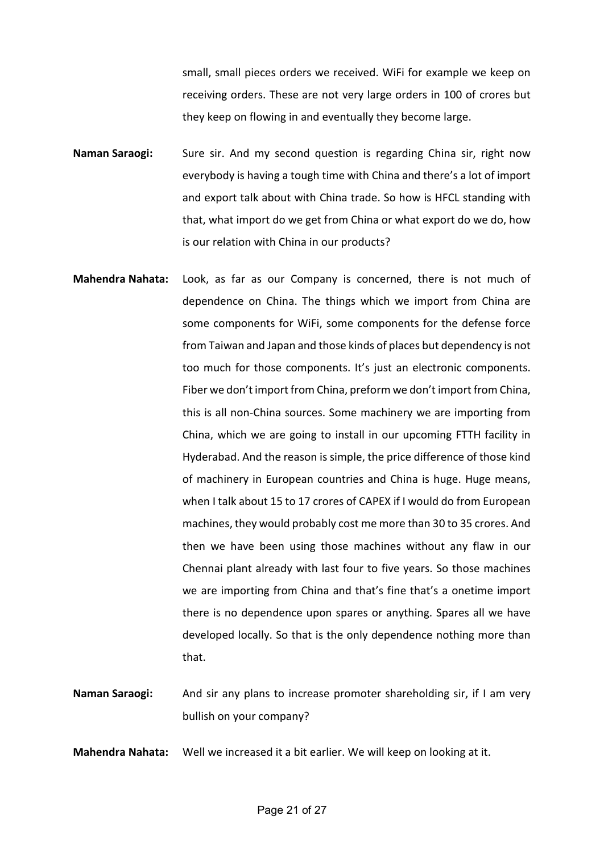small, small pieces orders we received. WiFi for example we keep on receiving orders. These are not very large orders in 100 of crores but they keep on flowing in and eventually they become large.

- **Naman Saraogi:** Sure sir. And my second question is regarding China sir, right now everybody is having a tough time with China and there's a lot of import and export talk about with China trade. So how is HFCL standing with that, what import do we get from China or what export do we do, how is our relation with China in our products?
- **Mahendra Nahata:** Look, as far as our Company is concerned, there is not much of dependence on China. The things which we import from China are some components for WiFi, some components for the defense force from Taiwan and Japan and those kinds of places but dependency is not too much for those components. It's just an electronic components. Fiber we don't import from China, preform we don't import from China, this is all non-China sources. Some machinery we are importing from China, which we are going to install in our upcoming FTTH facility in Hyderabad. And the reason is simple, the price difference of those kind of machinery in European countries and China is huge. Huge means, when I talk about 15 to 17 crores of CAPEX if I would do from European machines, they would probably cost me more than 30 to 35 crores. And then we have been using those machines without any flaw in our Chennai plant already with last four to five years. So those machines we are importing from China and that's fine that's a onetime import there is no dependence upon spares or anything. Spares all we have developed locally. So that is the only dependence nothing more than that.
- Naman Saraogi: And sir any plans to increase promoter shareholding sir, if I am very bullish on your company?
- **Mahendra Nahata:** Well we increased it a bit earlier. We will keep on looking at it.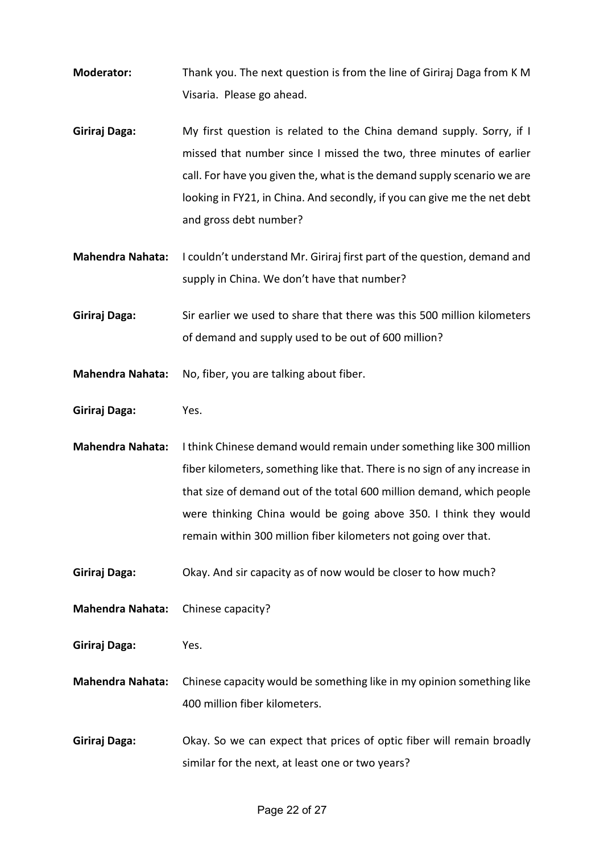- **Moderator:** Thank you. The next question is from the line of Giriraj Daga from K M Visaria. Please go ahead.
- **Giriraj Daga:** My first question is related to the China demand supply. Sorry, if I missed that number since I missed the two, three minutes of earlier call. For have you given the, what is the demand supply scenario we are looking in FY21, in China. And secondly, if you can give me the net debt and gross debt number?
- **Mahendra Nahata:** I couldn't understand Mr. Giriraj first part of the question, demand and supply in China. We don't have that number?
- **Giriraj Daga:** Sir earlier we used to share that there was this 500 million kilometers of demand and supply used to be out of 600 million?
- **Mahendra Nahata:** No, fiber, you are talking about fiber.
- **Giriraj Daga:** Yes.

**Mahendra Nahata:** I think Chinese demand would remain under something like 300 million fiber kilometers, something like that. There is no sign of any increase in that size of demand out of the total 600 million demand, which people were thinking China would be going above 350. I think they would remain within 300 million fiber kilometers not going over that.

- **Giriraj Daga:** Okay. And sir capacity as of now would be closer to how much?
- **Mahendra Nahata:** Chinese capacity?
- **Giriraj Daga:** Yes.
- **Mahendra Nahata:** Chinese capacity would be something like in my opinion something like 400 million fiber kilometers.
- **Giriraj Daga:** Okay. So we can expect that prices of optic fiber will remain broadly similar for the next, at least one or two years?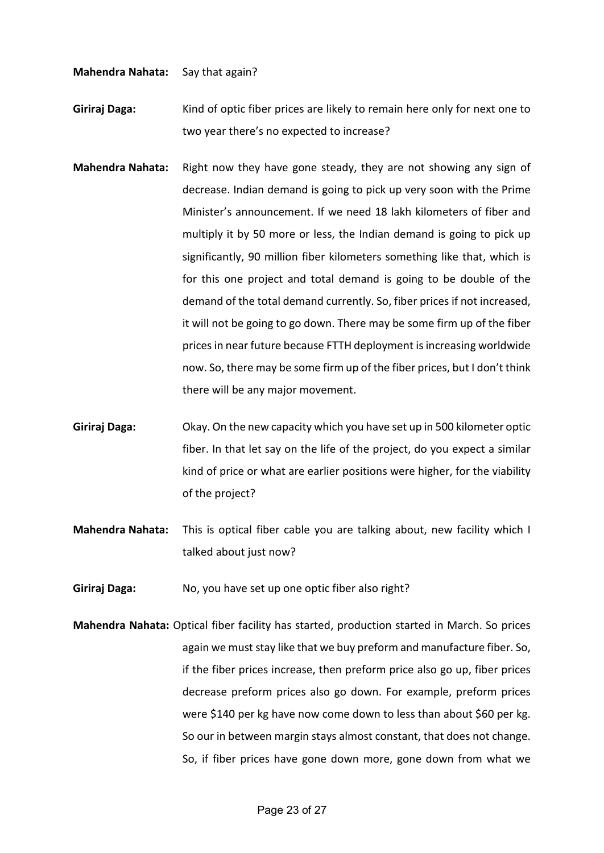**Mahendra Nahata:** Say that again?

**Giriraj Daga:** Kind of optic fiber prices are likely to remain here only for next one to two year there's no expected to increase?

- **Mahendra Nahata:** Right now they have gone steady, they are not showing any sign of decrease. Indian demand is going to pick up very soon with the Prime Minister's announcement. If we need 18 lakh kilometers of fiber and multiply it by 50 more or less, the Indian demand is going to pick up significantly, 90 million fiber kilometers something like that, which is for this one project and total demand is going to be double of the demand of the total demand currently. So, fiber prices if not increased, it will not be going to go down. There may be some firm up of the fiber prices in near future because FTTH deployment is increasing worldwide now. So, there may be some firm up of the fiber prices, but I don't think there will be any major movement.
- **Giriraj Daga:** Okay. On the new capacity which you have set up in 500 kilometer optic fiber. In that let say on the life of the project, do you expect a similar kind of price or what are earlier positions were higher, for the viability of the project?
- **Mahendra Nahata:** This is optical fiber cable you are talking about, new facility which I talked about just now?
- **Giriraj Daga:** No, you have set up one optic fiber also right?
- **Mahendra Nahata:** Optical fiber facility has started, production started in March. So prices again we must stay like that we buy preform and manufacture fiber. So, if the fiber prices increase, then preform price also go up, fiber prices decrease preform prices also go down. For example, preform prices were \$140 per kg have now come down to less than about \$60 per kg. So our in between margin stays almost constant, that does not change. So, if fiber prices have gone down more, gone down from what we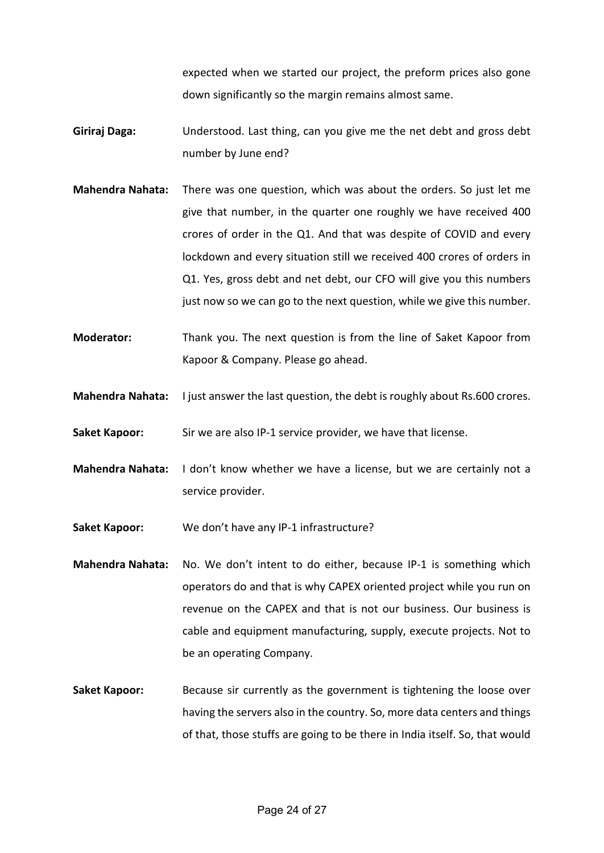expected when we started our project, the preform prices also gone down significantly so the margin remains almost same.

- **Giriraj Daga:** Understood. Last thing, can you give me the net debt and gross debt number by June end?
- **Mahendra Nahata:** There was one question, which was about the orders. So just let me give that number, in the quarter one roughly we have received 400 crores of order in the Q1. And that was despite of COVID and every lockdown and every situation still we received 400 crores of orders in Q1. Yes, gross debt and net debt, our CFO will give you this numbers just now so we can go to the next question, while we give this number.
- **Moderator:** Thank you. The next question is from the line of Saket Kapoor from Kapoor & Company. Please go ahead.
- **Mahendra Nahata:** I just answer the last question, the debt is roughly about Rs.600 crores.
- **Saket Kapoor:** Sir we are also IP-1 service provider, we have that license.
- **Mahendra Nahata:** I don't know whether we have a license, but we are certainly not a service provider.
- **Saket Kapoor:** We don't have any IP-1 infrastructure?
- **Mahendra Nahata:** No. We don't intent to do either, because IP-1 is something which operators do and that is why CAPEX oriented project while you run on revenue on the CAPEX and that is not our business. Our business is cable and equipment manufacturing, supply, execute projects. Not to be an operating Company.
- **Saket Kapoor:** Because sir currently as the government is tightening the loose over having the servers also in the country. So, more data centers and things of that, those stuffs are going to be there in India itself. So, that would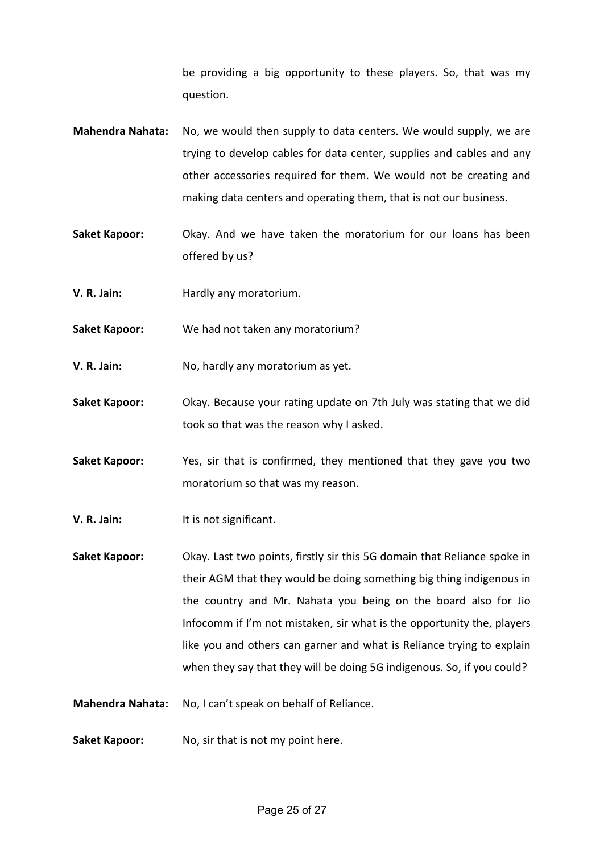be providing a big opportunity to these players. So, that was my question.

- **Mahendra Nahata:** No, we would then supply to data centers. We would supply, we are trying to develop cables for data center, supplies and cables and any other accessories required for them. We would not be creating and making data centers and operating them, that is not our business.
- **Saket Kapoor:** Okay. And we have taken the moratorium for our loans has been offered by us?
- **V. R. Jain:** Hardly any moratorium.
- **Saket Kapoor:** We had not taken any moratorium?
- **V. R. Jain:** No, hardly any moratorium as yet.
- **Saket Kapoor:** Okay. Because your rating update on 7th July was stating that we did took so that was the reason why I asked.
- **Saket Kapoor:** Yes, sir that is confirmed, they mentioned that they gave you two moratorium so that was my reason.
- **V. R. Jain:** It is not significant.
- **Saket Kapoor:** Okay. Last two points, firstly sir this 5G domain that Reliance spoke in their AGM that they would be doing something big thing indigenous in the country and Mr. Nahata you being on the board also for Jio Infocomm if I'm not mistaken, sir what is the opportunity the, players like you and others can garner and what is Reliance trying to explain when they say that they will be doing 5G indigenous. So, if you could?
- **Mahendra Nahata:** No, I can't speak on behalf of Reliance.
- **Saket Kapoor:** No, sir that is not my point here.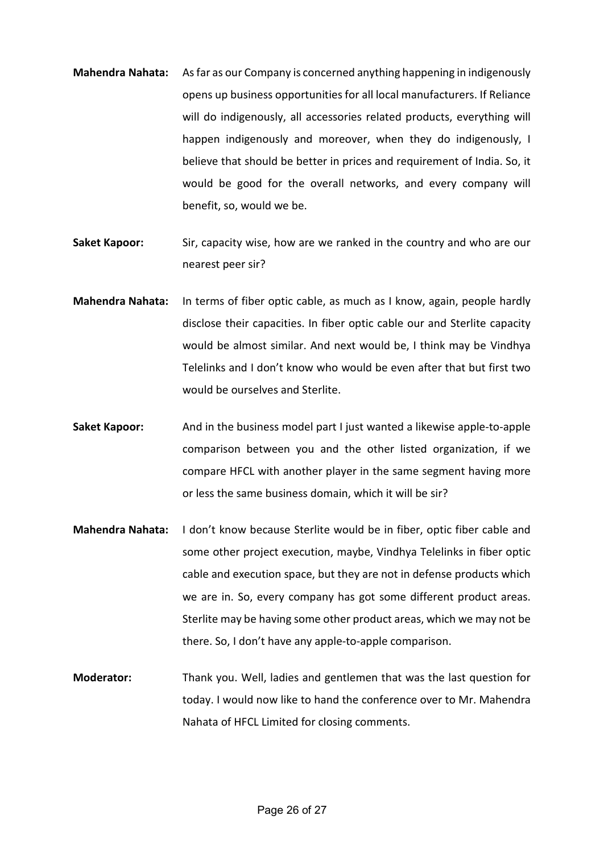- **Mahendra Nahata:** As far as our Company is concerned anything happening in indigenously opens up business opportunities for all local manufacturers. If Reliance will do indigenously, all accessories related products, everything will happen indigenously and moreover, when they do indigenously, I believe that should be better in prices and requirement of India. So, it would be good for the overall networks, and every company will benefit, so, would we be.
- **Saket Kapoor:** Sir, capacity wise, how are we ranked in the country and who are our nearest peer sir?
- **Mahendra Nahata:** In terms of fiber optic cable, as much as I know, again, people hardly disclose their capacities. In fiber optic cable our and Sterlite capacity would be almost similar. And next would be, I think may be Vindhya Telelinks and I don't know who would be even after that but first two would be ourselves and Sterlite.
- **Saket Kapoor:** And in the business model part I just wanted a likewise apple-to-apple comparison between you and the other listed organization, if we compare HFCL with another player in the same segment having more or less the same business domain, which it will be sir?
- **Mahendra Nahata:** I don't know because Sterlite would be in fiber, optic fiber cable and some other project execution, maybe, Vindhya Telelinks in fiber optic cable and execution space, but they are not in defense products which we are in. So, every company has got some different product areas. Sterlite may be having some other product areas, which we may not be there. So, I don't have any apple-to-apple comparison.
- **Moderator:** Thank you. Well, ladies and gentlemen that was the last question for today. I would now like to hand the conference over to Mr. Mahendra Nahata of HFCL Limited for closing comments.